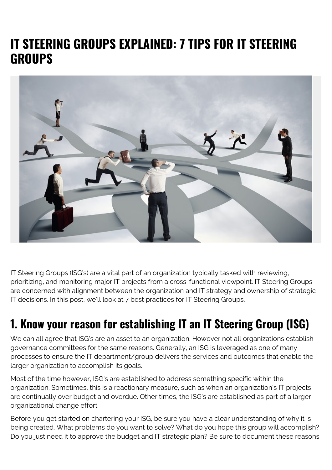#### **IT STEERING GROUPS EXPLAINED: 7 TIPS FOR IT STEERING GROUPS**



IT Steering Groups (ISG's) are a vital part of an organization typically tasked with reviewing, prioritizing, and monitoring major IT projects from a cross-functional viewpoint. IT Steering Groups are concerned with alignment between the organization and IT strategy and ownership of strategic IT decisions. In this post, we'll look at 7 best practices for IT Steering Groups.

#### **1. Know your reason for establishing IT an IT Steering Group (ISG)**

We can all agree that ISG's are an asset to an organization. However not all organizations establish governance committees for the same reasons. Generally, an ISG is leveraged as one of many processes to ensure the IT department/group delivers the services and outcomes that enable the larger organization to accomplish its goals.

Most of the time however, ISG's are established to address something specific within the organization. Sometimes, this is a reactionary measure, such as when an organization's IT projects are continually over budget and overdue. Other times, the ISG's are established as part of a larger organizational change effort.

Before you get started on chartering your ISG, be sure you have a clear understanding of why it is being created. What problems do you want to solve? What do you hope this group will accomplish? Do you just need it to approve the budget and IT strategic plan? Be sure to document these reasons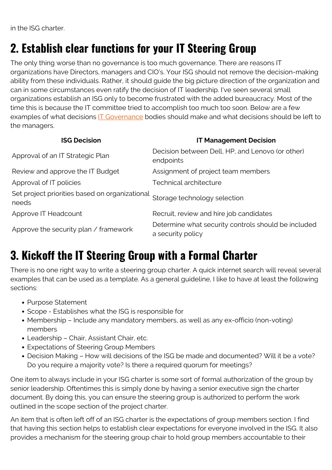in the ISG charter.

#### **2. Establish clear functions for your IT Steering Group**

The only thing worse than no governance is too much governance. There are reasons IT organizations have Directors, managers and CIO's. Your ISG should not remove the decision-making ability from these individuals. Rather, it should guide the big picture direction of the organization and can in some circumstances even ratify the decision of IT leadership. I've seen several small organizations establish an ISG only to become frustrated with the added bureaucracy. Most of the time this is because the IT committee tried to accomplish too much too soon. Below are a few examples of what decisions **IT Governance** bodies should make and what decisions should be left to the managers.

| <b>ISG Decision</b>                                     | <b>IT Management Decision</b>                                            |
|---------------------------------------------------------|--------------------------------------------------------------------------|
| Approval of an IT Strategic Plan                        | Decision between Dell, HP, and Lenovo (or other)<br>endpoints            |
| Review and approve the IT Budget                        | Assignment of project team members                                       |
| Approval of IT policies                                 | Technical architecture                                                   |
| Set project priorities based on organizational<br>needs | Storage technology selection                                             |
| Approve IT Headcount                                    | Recruit, review and hire job candidates                                  |
| Approve the security plan / framework                   | Determine what security controls should be included<br>a security policy |

## **3. Kickoff the IT Steering Group with a Formal Charter**

There is no one right way to write a steering group charter. A quick internet search will reveal several examples that can be used as a template. As a general guideline, I like to have at least the following sections:

- Purpose Statement
- Scope Establishes what the ISG is responsible for
- Membership Include any mandatory members, as well as any ex-officio (non-voting) members
- Leadership Chair, Assistant Chair, etc.
- Expectations of Steering Group Members
- Decision Making How will decisions of the ISG be made and documented? Will it be a vote? Do you require a majority vote? Is there a required quorum for meetings?

One item to always include in your ISG charter is some sort of formal authorization of the group by senior leadership. Oftentimes this is simply done by having a senior executive sign the charter document. By doing this, you can ensure the steering group is authorized to perform the work outlined in the scope section of the project charter.

An item that is often left off of an ISG charter is the expectations of group members section. I find that having this section helps to establish clear expectations for everyone involved in the ISG. It also provides a mechanism for the steering group chair to hold group members accountable to their